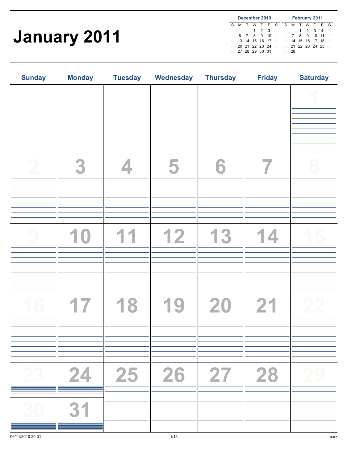## January 2011

| December 2010 |   |     |                   |     |  |                |                   |     |     | <b>February 2011</b> |     |      |
|---------------|---|-----|-------------------|-----|--|----------------|-------------------|-----|-----|----------------------|-----|------|
|               | м | T W |                   | TFS |  |                | S.                | м   | T W | $\top$               | - F | - S  |
|               |   |     | 1                 | 2 3 |  | $\overline{4}$ |                   |     | 1   | 2 3 4                |     | 5    |
| 5             |   |     | 678910            |     |  | $11 -$         | $6^{\circ}$       | 7   | 8   | 9 10 11              |     | - 12 |
|               |   |     | 13 14 15 16 17    |     |  | -18            | $-13$             |     |     | 14 15 16 17 18       |     | -19  |
|               |   |     | 20 21 22 23 24 25 |     |  |                | 20 21 22 23 24 25 |     |     |                      |     | -26  |
|               |   |     | 26 27 28 29 30 31 |     |  |                |                   | -28 |     |                      |     |      |

| <b>Sunday</b> | <b>Monday</b> | <b>Tuesday</b> | Wednesday | <b>Thursday</b> | <b>Friday</b> | <b>Saturday</b> |  |
|---------------|---------------|----------------|-----------|-----------------|---------------|-----------------|--|
|               |               |                |           |                 |               |                 |  |
|               |               |                |           |                 |               |                 |  |
|               | 3             |                |           | 6               |               |                 |  |
|               |               |                |           |                 |               |                 |  |
|               |               |                | 12        |                 |               |                 |  |
|               |               |                |           |                 |               |                 |  |
|               |               |                |           | 20              |               |                 |  |
|               |               |                |           |                 |               |                 |  |
| 23            | 24            | 25             | 26        |                 | 28            |                 |  |
| 30            | 31            |                |           |                 |               |                 |  |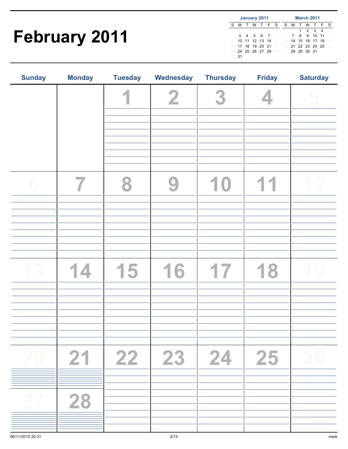## February 2011

|     | January 2011 |  |  |                   |  |  |                                     | <b>March 2011</b> |   |  |                |  |     |
|-----|--------------|--|--|-------------------|--|--|-------------------------------------|-------------------|---|--|----------------|--|-----|
| S   |              |  |  | M T W T F S       |  |  | S.                                  |                   |   |  | M T W T F      |  | - S |
|     |              |  |  |                   |  |  |                                     |                   | 1 |  | 2 3 4          |  | 5   |
|     |              |  |  | 3 4 5 6 7 8       |  |  | 6                                   |                   |   |  | 7 8 9 10 11    |  | -12 |
|     |              |  |  | 10 11 12 13 14 15 |  |  | $-13$                               |                   |   |  | 14 15 16 17 18 |  | -19 |
| 16  |              |  |  |                   |  |  | 17 18 19 20 21 22 20 21 22 23 24 25 |                   |   |  |                |  | -26 |
|     |              |  |  |                   |  |  | 23 24 25 26 27 28 29 27 28 29 30 31 |                   |   |  |                |  |     |
| 30. | -31          |  |  |                   |  |  |                                     |                   |   |  |                |  |     |

| <b>Sunday</b> | <b>Monday</b> | <b>Tuesday</b> | Wednesday       | <b>Thursday</b> | <b>Friday</b> | <b>Saturday</b> |
|---------------|---------------|----------------|-----------------|-----------------|---------------|-----------------|
|               |               |                |                 |                 |               |                 |
|               |               |                |                 |                 |               |                 |
|               |               | 5              | $\blacklozenge$ |                 | Ж             |                 |
| 20            | 21            | 22             | 23              | 24              | 25            | 26              |
| 27            | 28            |                |                 |                 |               |                 |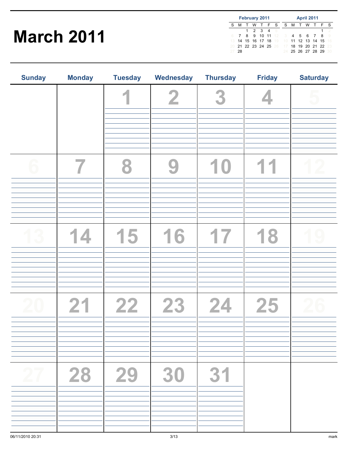### March 2011

| <b>February 2011</b> |     |  |     |                      |  |  | <b>April 2011</b>                   |   |  |  |                   |  |          |
|----------------------|-----|--|-----|----------------------|--|--|-------------------------------------|---|--|--|-------------------|--|----------|
|                      | м   |  | - W | TFS                  |  |  | S.                                  | м |  |  | T W T F           |  | - S      |
|                      |     |  |     | 1 2 3 4 5            |  |  |                                     |   |  |  |                   |  | 2        |
|                      |     |  |     |                      |  |  | 7 8 9 10 11 12 3 4 5 6 7 8          |   |  |  |                   |  | $\Omega$ |
| 13                   |     |  |     |                      |  |  | 14 15 16 17 18 19 10 11 12 13 14 15 |   |  |  |                   |  | - 16     |
|                      |     |  |     | 20 21 22 23 24 25 26 |  |  | 17                                  |   |  |  | 18 19 20 21 22 23 |  |          |
|                      | -28 |  |     |                      |  |  |                                     |   |  |  | 24 25 26 27 28 29 |  | 30       |

| <b>Sunday</b> | <b>Monday</b> | <b>Tuesday</b> | Wednesday | <b>Thursday</b> | <b>Friday</b> | <b>Saturday</b> |
|---------------|---------------|----------------|-----------|-----------------|---------------|-----------------|
|               |               |                |           | 3               |               |                 |
|               |               |                |           |                 |               |                 |
|               |               |                |           |                 |               |                 |
|               |               | 15             | 16        | 17              | 18            |                 |
|               |               |                |           |                 |               |                 |
|               | 21            | 22             | 23        | 24              | 25            |                 |
| 27            | 28            | 29             | 30        | 31              |               |                 |
|               |               |                |           |                 |               |                 |
|               |               |                |           |                 |               |                 |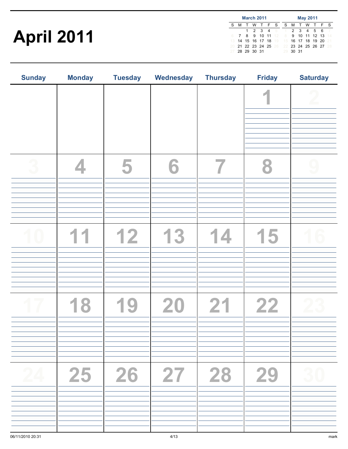## April 2011

|    | <b>March 2011</b> |             |  |                |  |         |                                           |       | <b>May 2011</b> |               |     |
|----|-------------------|-------------|--|----------------|--|---------|-------------------------------------------|-------|-----------------|---------------|-----|
| S  |                   |             |  |                |  |         | M T W T F S S M T W T F                   |       |                 |               | - S |
|    |                   | $1 \quad$   |  |                |  | 2 3 4 5 | $\sim$ 1                                  |       |                 | 2 3 4 5 6     |     |
|    |                   |             |  |                |  |         | <b>8</b> 9 10 11 12 8                     |       |                 | 9 10 11 12 13 | 14  |
| 13 |                   |             |  | 14 15 16 17 18 |  |         | 19 15 16 17 18 19 20                      |       |                 |               | 21  |
|    |                   |             |  |                |  |         | 20 21 22 23 24 25 26 22 23 24 25 26 27 28 |       |                 |               |     |
|    |                   | 28 29 30 31 |  |                |  |         | 29                                        | 30 31 |                 |               |     |

| <b>Sunday</b> | <b>Monday</b> | <b>Tuesday</b>    | <b>Wednesday</b> | <b>Thursday</b> | <b>Friday</b> | <b>Saturday</b> |
|---------------|---------------|-------------------|------------------|-----------------|---------------|-----------------|
|               |               |                   |                  |                 | o             |                 |
|               |               | 5                 |                  |                 |               |                 |
|               |               | 12                | 13               | $\Delta$        | 5             |                 |
|               |               |                   | 20               | 21              | 22            |                 |
| 24            |               | $25 \mid 26 \mid$ | 27 28            |                 | 29            | 30              |
|               |               |                   |                  |                 |               |                 |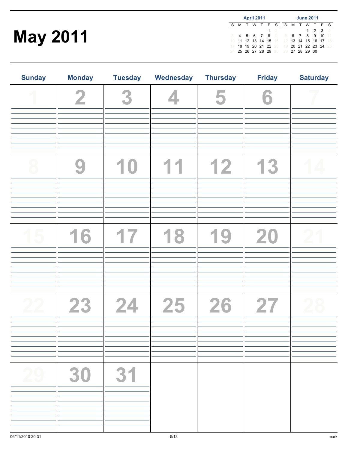## May 2011

|   | <b>April 2011</b> |        |             |  |   |                   |                                     |  | <b>June 2011</b> |       |     |          |
|---|-------------------|--------|-------------|--|---|-------------------|-------------------------------------|--|------------------|-------|-----|----------|
| S | м                 | $\top$ | WTFS        |  |   |                   |                                     |  | S M T W T        |       | - F | - S      |
|   |                   |        |             |  | 1 | -2                |                                     |  |                  | 1 2 3 |     | $\Delta$ |
|   |                   |        | 4 5 6 7 8 9 |  |   |                   | 5.                                  |  | 6 7 8 9 10       |       |     | $-11$    |
|   |                   |        |             |  |   | 11 12 13 14 15 16 | 12 13 14 15 16 17                   |  |                  |       |     | 18       |
|   |                   |        |             |  |   | 18 19 20 21 22 23 | 19 20 21 22 23 24                   |  |                  |       |     | 25       |
|   |                   |        |             |  |   |                   | 24 25 26 27 28 29 30 26 27 28 29 30 |  |                  |       |     |          |

| <b>Sunday</b> | <b>Monday</b> | <b>Tuesday</b> | Wednesday    | <b>Thursday</b> | <b>Friday</b> | <b>Saturday</b> |
|---------------|---------------|----------------|--------------|-----------------|---------------|-----------------|
|               | $\mathbf 2$   | 3              |              | 5               | 6             |                 |
|               | 9             | 10             | $\mathbf{1}$ | 12              | 13            |                 |
|               | 16            | 17             | 18           | 19              | 20            |                 |
|               | 23            | 24             | 25           | 26              | 27            |                 |
|               | 30            | 31             |              |                 |               |                 |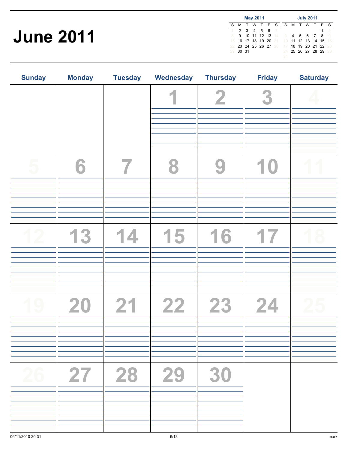## June 2011

|    | <b>May 2011</b> |  |  |                   |  |      |                                     | <b>July 2011</b> |  |                   |  |  |         |
|----|-----------------|--|--|-------------------|--|------|-------------------------------------|------------------|--|-------------------|--|--|---------|
| S  |                 |  |  |                   |  |      | M T W T F S S M T W T F S           |                  |  |                   |  |  |         |
|    |                 |  |  | 2 3 4 5 6         |  | $-7$ |                                     |                  |  |                   |  |  | $\circ$ |
|    | 9               |  |  |                   |  |      | 10 11 12 13 14 3 4 5 6 7 8          |                  |  |                   |  |  |         |
| 15 |                 |  |  |                   |  |      | 16 17 18 19 20 21 10 11 12 13 14 15 |                  |  |                   |  |  | 16      |
|    |                 |  |  | 23 24 25 26 27 28 |  |      | 17                                  |                  |  | 18 19 20 21 22 23 |  |  |         |
|    | 30 31           |  |  |                   |  |      | 24.                                 |                  |  | 25 26 27 28 29    |  |  | -30     |
|    |                 |  |  |                   |  |      |                                     |                  |  |                   |  |  |         |

| <b>Sunday</b> | <b>Monday</b> | <b>Tuesday</b>   | Wednesday | <b>Thursday</b> | <b>Friday</b> | <b>Saturday</b> |
|---------------|---------------|------------------|-----------|-----------------|---------------|-----------------|
|               |               |                  |           | $\overline{2}$  | 3             |                 |
|               | 6             |                  |           | $\mathbf{S}$    | 10            |                 |
|               |               | $\blacktriangle$ | 15        | 16              |               |                 |
|               | 20            | 21               | 22        | 23              | 24            |                 |
| 26            | 27            | 28               | 29        | 30              |               |                 |
|               |               |                  |           |                 |               |                 |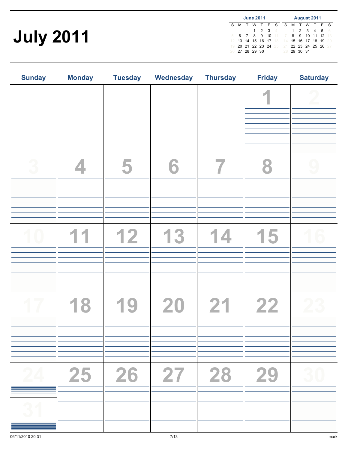# July 2011

|   | <b>June 2011</b> |  |                   |       |  |                |                                        |             |        |   | <b>August 2011</b> |   |    |
|---|------------------|--|-------------------|-------|--|----------------|----------------------------------------|-------------|--------|---|--------------------|---|----|
| S | м                |  | - W               | TFS   |  |                | S.                                     | M           | $\top$ | W |                    | F | -S |
|   |                  |  |                   | 1 2 3 |  | $\overline{4}$ |                                        |             |        |   | 1 2 3 4 5          |   | -6 |
|   |                  |  | 6 7 8 9 10        |       |  | $-11$          | $\mathcal{I}$                          |             |        |   | 8 9 10 11 12       |   | 13 |
|   |                  |  | 13 14 15 16 17 18 |       |  |                | 14 15 16 17 18 19                      |             |        |   |                    |   | 20 |
|   |                  |  |                   |       |  |                | 20 21 22 23 24 25 21 22 23 24 25 26 27 |             |        |   |                    |   |    |
|   |                  |  | 27 28 29 30       |       |  |                |                                        | 28 29 30 31 |        |   |                    |   |    |

| <b>Sunday</b> | <b>Monday</b> | <b>Tuesday</b> | Wednesday | <b>Thursday</b> | <b>Friday</b>                                        | <b>Saturday</b> |
|---------------|---------------|----------------|-----------|-----------------|------------------------------------------------------|-----------------|
|               |               |                |           |                 |                                                      |                 |
|               |               | 5              |           |                 |                                                      |                 |
|               |               | 12             | 3         |                 | $\overline{\phantom{a}}$<br>$\overline{\phantom{a}}$ |                 |
|               |               |                | 20        | 21              | 22                                                   |                 |
| 24            | 25            | 26             | 27        | 28              | 29                                                   | 30              |
| $3^{\circ}$   |               |                |           |                 |                                                      |                 |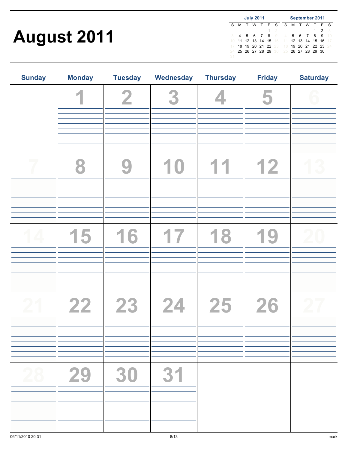## August 2011

| <b>July 2011</b> |   |        |   |  |                   |   | September 2011                      |   |     |  |                |               |      |
|------------------|---|--------|---|--|-------------------|---|-------------------------------------|---|-----|--|----------------|---------------|------|
| S                | м | $\top$ | w |  | TFS               |   | S.                                  | м | T W |  | T F            |               | - S  |
|                  |   |        |   |  | 1                 | 2 |                                     |   |     |  |                | $\mathcal{P}$ | З    |
|                  |   |        |   |  | 4 5 6 7 8 9       |   |                                     |   |     |  | 4 5 6 7 8      | -9            | 10   |
| 10               |   |        |   |  | 11 12 13 14 15 16 |   | 11 12 13 14 15 16                   |   |     |  |                |               | 17   |
|                  |   |        |   |  | 18 19 20 21 22 23 |   | 18                                  |   |     |  | 19 20 21 22 23 |               | - 24 |
| 24.              |   |        |   |  |                   |   | 25 26 27 28 29 30 25 26 27 28 29 30 |   |     |  |                |               |      |
| 31               |   |        |   |  |                   |   |                                     |   |     |  |                |               |      |

| <b>Sunday</b> | <b>Monday</b> | <b>Tuesday</b> | Wednesday | <b>Thursday</b> | <b>Friday</b> | <b>Saturday</b> |
|---------------|---------------|----------------|-----------|-----------------|---------------|-----------------|
|               | Ø.            | $\overline{2}$ | 3         |                 | 5             |                 |
|               |               |                |           |                 |               |                 |
|               | 8             |                |           |                 | 12            |                 |
|               |               |                |           |                 |               |                 |
|               |               |                |           |                 |               |                 |
|               | 15            | 16             | 17        | 18              | 1<br>9        |                 |
|               |               |                |           |                 |               |                 |
|               |               |                |           |                 |               |                 |
|               | 22            | 23             | 24        | 25              | 26            |                 |
|               |               |                |           |                 |               |                 |
|               |               |                |           |                 |               |                 |
| 28            | 29            | 30             | 31        |                 |               |                 |
|               |               |                |           |                 |               |                 |
|               |               |                |           |                 |               |                 |
|               |               |                |           |                 |               |                 |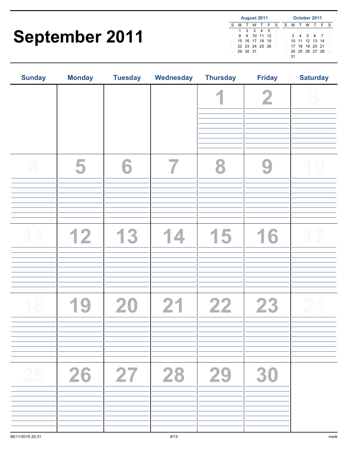### September 2011

|    | August 2011 |  |  |                      |  |  |                                           | October 2011 |         |                      |  |       |  |
|----|-------------|--|--|----------------------|--|--|-------------------------------------------|--------------|---------|----------------------|--|-------|--|
| S. |             |  |  | M T W T F S          |  |  |                                           |              | S M T W |                      |  | T F S |  |
|    | 1           |  |  | 2 3 4 5 6            |  |  |                                           |              |         |                      |  |       |  |
|    | 8.          |  |  | 9 10 11 12 13        |  |  |                                           |              |         | 2 3 4 5 6 7          |  |       |  |
|    |             |  |  | 14 15 16 17 18 19 20 |  |  | 9                                         |              |         | 10 11 12 13 14       |  |       |  |
|    |             |  |  |                      |  |  | 21 22 23 24 25 26 27 16 17 18 19 20 21 22 |              |         |                      |  |       |  |
|    | 28 29 30 31 |  |  |                      |  |  |                                           |              |         | 23 24 25 26 27 28 29 |  |       |  |
|    |             |  |  |                      |  |  | 30 31                                     |              |         |                      |  |       |  |

| <b>Sunday</b> | <b>Monday</b> | <b>Tuesday</b> | Wednesday            | <b>Thursday</b> | <b>Friday</b> | <b>Saturday</b> |
|---------------|---------------|----------------|----------------------|-----------------|---------------|-----------------|
|               |               |                |                      |                 | $\mathbf 2$   |                 |
|               | 5             | 6              |                      |                 |               |                 |
|               | 12            | 3              | $\blacktriangleleft$ | 15              | 16            |                 |
|               |               | 20             | 21                   | 22              | 23            |                 |
| 25            | 26            | 27             | 28                   | 29              | 30            |                 |
|               |               |                |                      |                 |               |                 |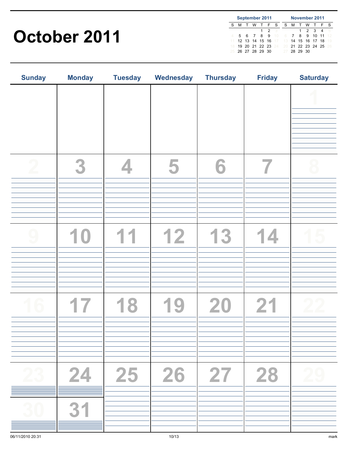#### October 2011

|    | September 2011 |        |  |                   |       |  |                                        |                |              | November 2011  |   |    |
|----|----------------|--------|--|-------------------|-------|--|----------------------------------------|----------------|--------------|----------------|---|----|
| S  | м              | $\top$ |  | W T F S           |       |  |                                        |                | S M T W      | T              | F | -S |
|    |                |        |  |                   | 1 2 3 |  |                                        |                | $\mathbf{1}$ | 2 3 4          |   | 5  |
|    |                |        |  | 5 6 7 8 9 10      |       |  | - 6                                    | $\overline{7}$ |              | 8 9 10 11 12   |   |    |
|    |                |        |  |                   |       |  | 12 13 14 15 16 17 13                   |                |              | 14 15 16 17 18 |   | 19 |
| 18 |                |        |  |                   |       |  | 19 20 21 22 23 24 20 21 22 23 24 25 26 |                |              |                |   |    |
|    |                |        |  | 25 26 27 28 29 30 |       |  |                                        |                | 27 28 29 30  |                |   |    |

| <b>Sunday</b> | <b>Monday</b> | <b>Tuesday</b> | Wednesday | <b>Thursday</b> | <b>Friday</b> | <b>Saturday</b> |
|---------------|---------------|----------------|-----------|-----------------|---------------|-----------------|
|               |               |                |           |                 |               |                 |
|               |               |                |           |                 |               |                 |
|               | 3             |                |           | 6               |               |                 |
|               |               |                |           |                 |               |                 |
|               |               |                | 12        |                 |               |                 |
|               |               |                |           |                 |               |                 |
|               |               |                |           | 20              |               |                 |
|               |               |                |           |                 |               |                 |
| 23            | 24            | 25             | 26        |                 | 28            |                 |
| 30            | 31            |                |           |                 |               |                 |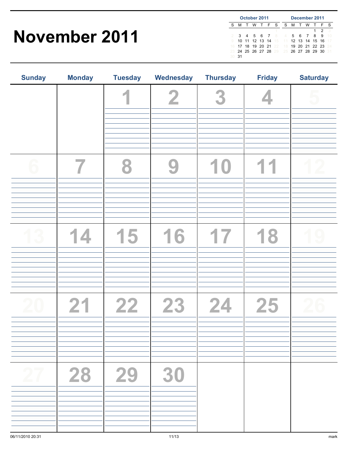#### November 2011

|    | October 2011 |  |  |                   |  |  |                                        | December 2011 |  |         |                |    |      |
|----|--------------|--|--|-------------------|--|--|----------------------------------------|---------------|--|---------|----------------|----|------|
| S  |              |  |  | M T W T F S       |  |  | S.                                     |               |  |         | M T W T F      |    | - S  |
|    |              |  |  |                   |  |  |                                        |               |  |         | 1              | 2  | 3    |
|    |              |  |  | 3 4 5 6 7 8       |  |  | $4 -$                                  |               |  | 5 6 7 8 |                | -9 | 1 N  |
|    |              |  |  | 10 11 12 13 14 15 |  |  | $-11$                                  |               |  |         | 12 13 14 15 16 |    |      |
| 16 |              |  |  | 17 18 19 20 21 22 |  |  | 18                                     |               |  |         | 19 20 21 22 23 |    | - 24 |
|    |              |  |  |                   |  |  | 23 24 25 26 27 28 29 25 26 27 28 29 30 |               |  |         |                |    | -31  |
| 30 | 31           |  |  |                   |  |  |                                        |               |  |         |                |    |      |

| <b>Sunday</b> | <b>Monday</b> | <b>Tuesday</b> | Wednesday      | <b>Thursday</b> | <b>Friday</b> | <b>Saturday</b> |
|---------------|---------------|----------------|----------------|-----------------|---------------|-----------------|
|               |               | A              | $\overline{2}$ | 3               |               |                 |
|               |               |                |                |                 |               |                 |
|               |               |                |                |                 |               |                 |
|               |               |                |                |                 |               |                 |
|               |               |                |                |                 |               |                 |
|               | 14            | 15             | 16             | 17              | 18            |                 |
|               |               |                |                |                 |               |                 |
|               |               |                |                |                 |               |                 |
|               | 21            | 22             | 23             | 24              | 25            |                 |
|               |               |                |                |                 |               |                 |
|               |               |                |                |                 |               |                 |
|               | 28            | 29             | 30             |                 |               |                 |
|               |               |                |                |                 |               |                 |
|               |               |                |                |                 |               |                 |
|               |               |                |                |                 |               |                 |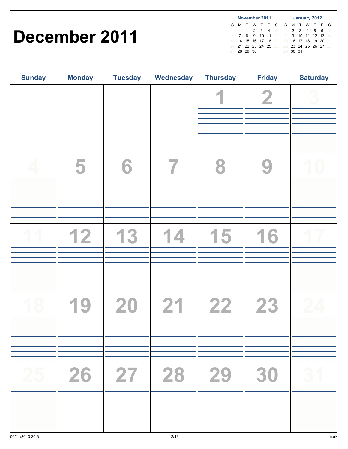#### December 2011

|    | November 2011 |          |  |                   |  |              |                                     | January 2012 |  |          |               |     |     |
|----|---------------|----------|--|-------------------|--|--------------|-------------------------------------|--------------|--|----------|---------------|-----|-----|
|    | м             | $\top$   |  | WTFS              |  |              | S.                                  | M T          |  | <b>W</b> | T             | - F | -S  |
|    |               |          |  | 2 3 4             |  | 5            | $\sim$ 1                            |              |  |          | 2 3 4 5 6     |     |     |
| 6  |               |          |  |                   |  | 8 9 10 11 12 | -8                                  |              |  |          | 9 10 11 12 13 |     | 14  |
| 13 |               |          |  |                   |  |              | 14 15 16 17 18 19 15 16 17 18 19 20 |              |  |          |               |     | 21  |
|    |               |          |  | 21 22 23 24 25 26 |  |              | 22 23 24 25 26 27                   |              |  |          |               |     | -28 |
|    |               | 28 29 30 |  |                   |  |              | 29                                  | 30 31        |  |          |               |     |     |

| <b>Sunday</b> | <b>Monday</b> | <b>Tuesday</b> | Wednesday  | <b>Thursday</b> | <b>Friday</b> | <b>Saturday</b> |
|---------------|---------------|----------------|------------|-----------------|---------------|-----------------|
|               |               |                |            |                 | $\bf{2}$      |                 |
|               | 5             | 6              |            |                 |               |                 |
|               | 12            | 13             | $\sqrt{2}$ | 15              | 16            |                 |
|               |               | 20             | 21         | 22              | 23            |                 |
| 25            | 26            | 27             | 28         | $\vert 29$      | 30            | 31              |